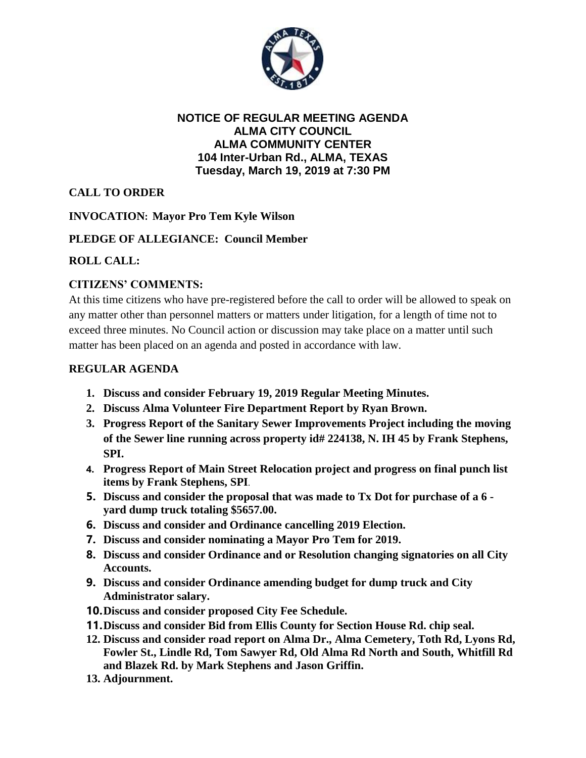

#### **NOTICE OF REGULAR MEETING AGENDA ALMA CITY COUNCIL ALMA COMMUNITY CENTER 104 Inter-Urban Rd., ALMA, TEXAS Tuesday, March 19, 2019 at 7:30 PM**

# **CALL TO ORDER**

### **INVOCATION: Mayor Pro Tem Kyle Wilson**

### **PLEDGE OF ALLEGIANCE: Council Member**

## **ROLL CALL:**

## **CITIZENS' COMMENTS:**

At this time citizens who have pre-registered before the call to order will be allowed to speak on any matter other than personnel matters or matters under litigation, for a length of time not to exceed three minutes. No Council action or discussion may take place on a matter until such matter has been placed on an agenda and posted in accordance with law.

### **REGULAR AGENDA**

- **1. Discuss and consider February 19, 2019 Regular Meeting Minutes.**
- **2. Discuss Alma Volunteer Fire Department Report by Ryan Brown.**
- **3. Progress Report of the Sanitary Sewer Improvements Project including the moving of the Sewer line running across property id# 224138, N. IH 45 by Frank Stephens, SPI.**
- **4. Progress Report of Main Street Relocation project and progress on final punch list items by Frank Stephens, SPI**.
- **5. Discuss and consider the proposal that was made to Tx Dot for purchase of a 6 yard dump truck totaling \$5657.00.**
- **6. Discuss and consider and Ordinance cancelling 2019 Election.**
- **7. Discuss and consider nominating a Mayor Pro Tem for 2019.**
- **8. Discuss and consider Ordinance and or Resolution changing signatories on all City Accounts.**
- **9. Discuss and consider Ordinance amending budget for dump truck and City Administrator salary.**
- **10.Discuss and consider proposed City Fee Schedule.**
- **11.Discuss and consider Bid from Ellis County for Section House Rd. chip seal.**
- **12. Discuss and consider road report on Alma Dr., Alma Cemetery, Toth Rd, Lyons Rd, Fowler St., Lindle Rd, Tom Sawyer Rd, Old Alma Rd North and South, Whitfill Rd and Blazek Rd. by Mark Stephens and Jason Griffin.**
- **13. Adjournment.**